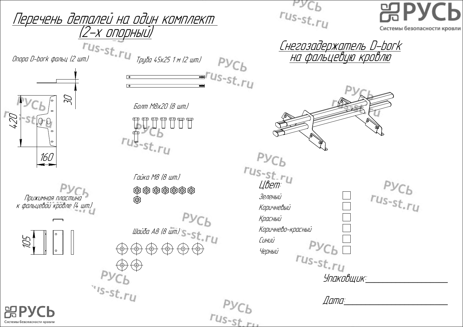**PACP**  $rus-st.ru$ Перечень деталей на один комплект (2-<sup>х</sup> опорный) Системы безопасности кровли Опора D-bork фальц (2 шт.)<br>Опора D-bork фальц (2 шт.) <u>Снегозадержатель D-bork</u> на фальцевую кровлю  $Pyc<sub>b</sub>$  $\frac{1}{\sqrt{25}}$ <br> $\frac{6}{\sqrt{25}}$ <br> $\frac{6}{\sqrt{25}}$ <br> $\frac{1}{\sqrt{25}}$ <br> $\frac{1}{\sqrt{25}}$ <br> $\frac{1}{\sqrt{25}}$ <br> $\frac{1}{\sqrt{25}}$ <br> $\frac{1}{\sqrt{25}}$ <br> $\frac{1}{\sqrt{25}}$ <br> $\frac{1}{\sqrt{25}}$ <br> $\frac{1}{\sqrt{25}}$ <br> $\frac{1}{\sqrt{25}}$ <br> $\frac{1}{\sqrt{25}}$ <br> $\frac{1}{\sqrt{25}}$ <br> $\frac{1}{\sqrt{25}}$ <br> $\frac{1}{\sqrt{25$  $T^{Us-st.r_U}$  $\mathcal{Z}$ Болт М8х20 (8 шт.) 420 भाग भाग भाग<br>|| || || || ||  $Pyc_b$ 160 rus-st.ru Гайка М8 (8 шт.)  $Pyc<sub>b</sub>$ <br> $r_{us-st.ru}$ Зеленый Прижимная пластина <sup>к</sup> фальцевой кровле (4 шт.) Коричневый РУСЬ<br>Шайба А8 (8 шт.) S-St. ГЦ Красный Коричнево-красный 105 Синий  $Pyc_b$ Черный Черный rus-st.ru<br>Упаковщик:  $s_{1s-st,ry}$  $\sqrt{2}$  $rus<sub>-st</sub>$ Системы безопасности кровл